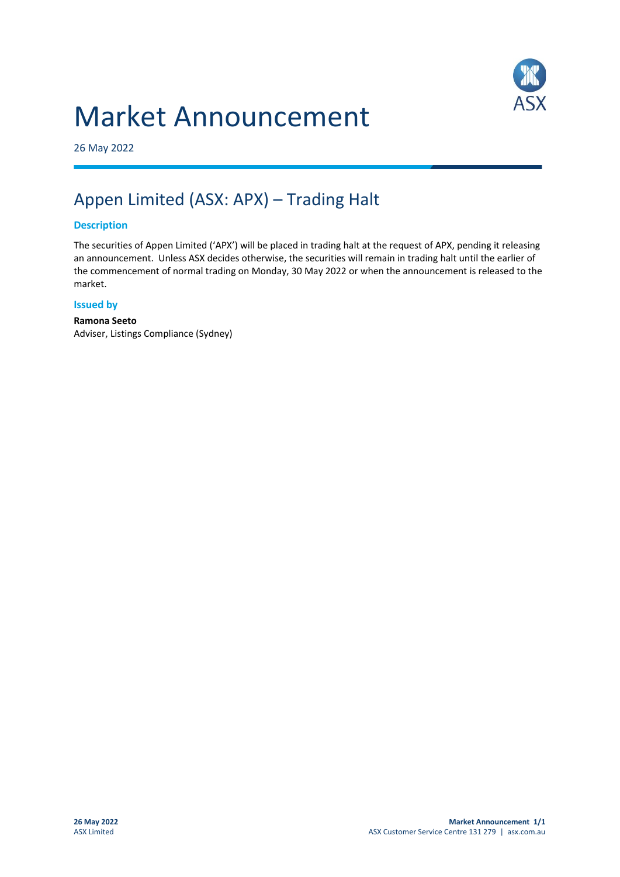# Market Announcement



26 May 2022

# Appen Limited (ASX: APX) – Trading Halt

## **Description**

The securities of Appen Limited ('APX') will be placed in trading halt at the request of APX, pending it releasing an announcement. Unless ASX decides otherwise, the securities will remain in trading halt until the earlier of the commencement of normal trading on Monday, 30 May 2022 or when the announcement is released to the market.

#### **Issued by**

**Ramona Seeto** Adviser, Listings Compliance (Sydney)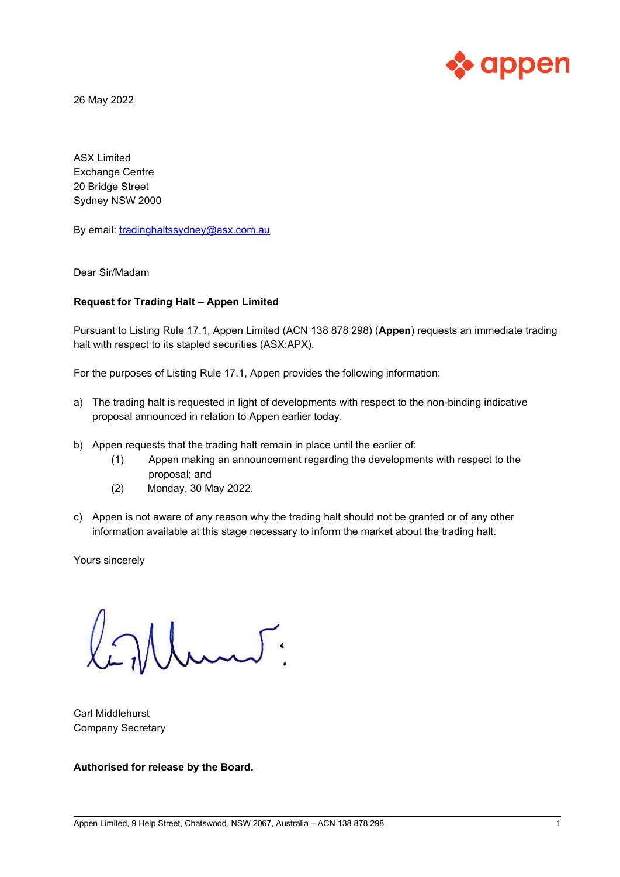

26 May 2022

ASX Limited Exchange Centre 20 Bridge Street Sydney NSW 2000

By email: [tradinghaltssydney@asx.com.au](mailto:tradinghaltssydney@asx.com.au)

Dear Sir/Madam

### **Request for Trading Halt – Appen Limited**

Pursuant to Listing Rule 17.1, Appen Limited (ACN 138 878 298) (**Appen**) requests an immediate trading halt with respect to its stapled securities (ASX:APX).

For the purposes of Listing Rule 17.1, Appen provides the following information:

- a) The trading halt is requested in light of developments with respect to the non-binding indicative proposal announced in relation to Appen earlier today.
- b) Appen requests that the trading halt remain in place until the earlier of:
	- (1) Appen making an announcement regarding the developments with respect to the proposal; and
	- (2) Monday, 30 May 2022.
- c) Appen is not aware of any reason why the trading halt should not be granted or of any other information available at this stage necessary to inform the market about the trading halt.

Yours sincerely

Umur.

Carl Middlehurst Company Secretary

**Authorised for release by the Board.**